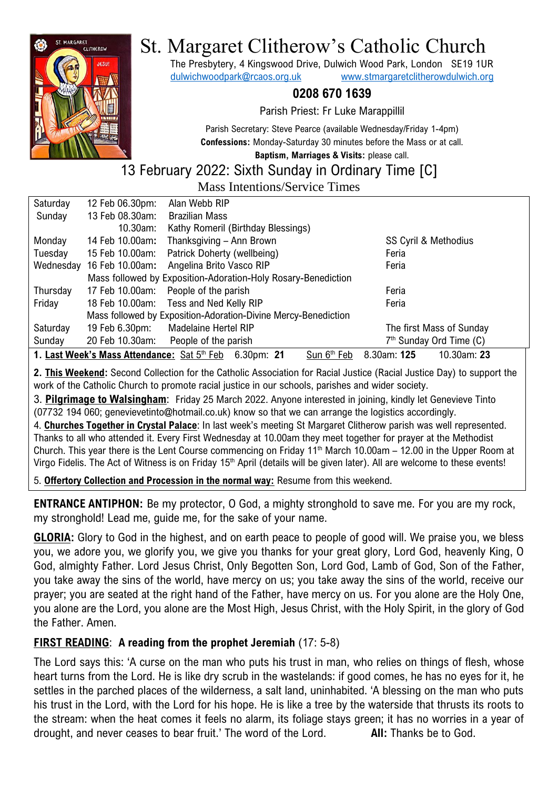

# St. Margaret Clitherow's Catholic Church

The Presbytery, 4 Kingswood Drive, Dulwich Wood Park, London SE19 1UR [dulwichwoodpark@rcaos.org.uk](mailto:dulwichwoodpark@rcaos.org.uk) [www.stmargaretclitherowdulwich.org](http://www.stmargaretclitherowdulwich.org/)

# **0208 670 1639**

Parish Priest: Fr Luke Marappillil

Parish Secretary: Steve Pearce (available Wednesday/Friday 1-4pm) **Confessions:** Monday-Saturday 30 minutes before the Mass or at call.

**Baptism, Marriages & Visits:** please call.

# 13 February 2022: Sixth Sunday in Ordinary Time [C]

Mass Intentions/Service Times

| Saturday                                                                                                           | 12 Feb 06.30pm: | Alan Webb RIP                          |                           |
|--------------------------------------------------------------------------------------------------------------------|-----------------|----------------------------------------|---------------------------|
| Sunday                                                                                                             | 13 Feb 08.30am: | <b>Brazilian Mass</b>                  |                           |
|                                                                                                                    | $10.30$ am:     | Kathy Romeril (Birthday Blessings)     |                           |
| Monday                                                                                                             | 14 Feb 10.00am: | Thanksgiving - Ann Brown               | SS Cyril & Methodius      |
| Tuesday                                                                                                            | 15 Feb 10.00am: | Patrick Doherty (wellbeing)            | Feria                     |
| Wednesday                                                                                                          | 16 Feb 10.00am: | Angelina Brito Vasco RIP               | Feria                     |
| Mass followed by Exposition-Adoration-Holy Rosary-Benediction                                                      |                 |                                        |                           |
| Thursday                                                                                                           | 17 Feb 10.00am: | People of the parish                   | Feria                     |
| Friday                                                                                                             |                 | 18 Feb 10.00am: Tess and Ned Kelly RIP | Feria                     |
| Mass followed by Exposition-Adoration-Divine Mercy-Benediction                                                     |                 |                                        |                           |
| Saturday                                                                                                           | 19 Feb 6.30pm:  | <b>Madelaine Hertel RIP</b>            | The first Mass of Sunday  |
| Sunday                                                                                                             | 20 Feb 10.30am: | People of the parish                   | $7th$ Sunday Ord Time (C) |
| 1. Last Week's Mass Attendance: Sat 5th Feb<br>8.30am: 125<br>Sun 6 <sup>th</sup> Feb<br>10.30am: 23<br>6.30pm: 21 |                 |                                        |                           |

**2. This Weekend:** Second Collection for the Catholic Association for Racial Justice (Racial Justice Day) to support the work of the Catholic Church to promote racial justice in our schools, parishes and wider society.

3. **Pilgrimage to Walsingham**: Friday 25 March 2022. Anyone interested in joining, kindly let Genevieve Tinto (07732 194 060; genevievetinto@hotmail.co.uk) know so that we can arrange the logistics accordingly.

4. **Churches Together in Crystal Palace**: In last week's meeting St Margaret Clitherow parish was well represented. Thanks to all who attended it. Every First Wednesday at 10.00am they meet together for prayer at the Methodist Church. This year there is the Lent Course commencing on Friday 11<sup>th</sup> March 10.00am – 12.00 in the Upper Room at Virgo Fidelis. The Act of Witness is on Friday 15<sup>th</sup> April (details will be given later). All are welcome to these events!

5. **Offertory Collection and Procession in the normal way:** Resume from this weekend.

**ENTRANCE ANTIPHON:** Be my protector, O God, a mighty stronghold to save me. For you are my rock, my stronghold! Lead me, guide me, for the sake of your name.

**GLORIA:** Glory to God in the highest, and on earth peace to people of good will. We praise you, we bless you, we adore you, we glorify you, we give you thanks for your great glory, Lord God, heavenly King, O God, almighty Father. Lord Jesus Christ, Only Begotten Son, Lord God, Lamb of God, Son of the Father, you take away the sins of the world, have mercy on us; you take away the sins of the world, receive our prayer; you are seated at the right hand of the Father, have mercy on us. For you alone are the Holy One, you alone are the Lord, you alone are the Most High, Jesus Christ, with the Holy Spirit, in the glory of God the Father. Amen.

# **FIRST READING**: **A reading from the prophet Jeremiah** (17: 5-8)

The Lord says this: 'A curse on the man who puts his trust in man, who relies on things of flesh, whose heart turns from the Lord. He is like dry scrub in the wastelands: if good comes, he has no eyes for it, he settles in the parched places of the wilderness, a salt land, uninhabited. 'A blessing on the man who puts his trust in the Lord, with the Lord for his hope. He is like a tree by the waterside that thrusts its roots to the stream: when the heat comes it feels no alarm, its foliage stays green; it has no worries in a year of drought, and never ceases to bear fruit.' The word of the Lord. **All:** Thanks be to God.